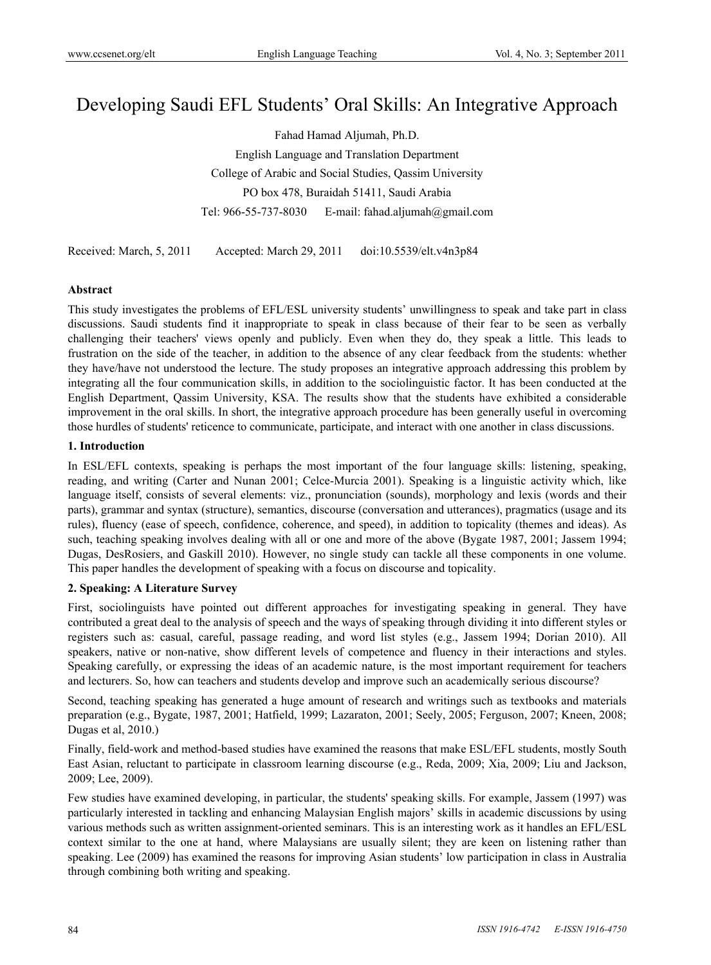# Developing Saudi EFL Students' Oral Skills: An Integrative Approach

Fahad Hamad Aljumah, Ph.D. English Language and Translation Department College of Arabic and Social Studies, Qassim University PO box 478, Buraidah 51411, Saudi Arabia Tel: 966-55-737-8030 E-mail: fahad.aljumah@gmail.com

Received: March, 5, 2011 Accepted: March 29, 2011 doi:10.5539/elt.v4n3p84

## **Abstract**

This study investigates the problems of EFL/ESL university students' unwillingness to speak and take part in class discussions. Saudi students find it inappropriate to speak in class because of their fear to be seen as verbally challenging their teachers' views openly and publicly. Even when they do, they speak a little. This leads to frustration on the side of the teacher, in addition to the absence of any clear feedback from the students: whether they have/have not understood the lecture. The study proposes an integrative approach addressing this problem by integrating all the four communication skills, in addition to the sociolinguistic factor. It has been conducted at the English Department, Qassim University, KSA. The results show that the students have exhibited a considerable improvement in the oral skills. In short, the integrative approach procedure has been generally useful in overcoming those hurdles of students' reticence to communicate, participate, and interact with one another in class discussions.

#### **1. Introduction**

In ESL/EFL contexts, speaking is perhaps the most important of the four language skills: listening, speaking, reading, and writing (Carter and Nunan 2001; Celce-Murcia 2001). Speaking is a linguistic activity which, like language itself, consists of several elements: viz., pronunciation (sounds), morphology and lexis (words and their parts), grammar and syntax (structure), semantics, discourse (conversation and utterances), pragmatics (usage and its rules), fluency (ease of speech, confidence, coherence, and speed), in addition to topicality (themes and ideas). As such, teaching speaking involves dealing with all or one and more of the above (Bygate 1987, 2001; Jassem 1994; Dugas, DesRosiers, and Gaskill 2010). However, no single study can tackle all these components in one volume. This paper handles the development of speaking with a focus on discourse and topicality.

## **2. Speaking: A Literature Survey**

First, sociolinguists have pointed out different approaches for investigating speaking in general. They have contributed a great deal to the analysis of speech and the ways of speaking through dividing it into different styles or registers such as: casual, careful, passage reading, and word list styles (e.g., Jassem 1994; Dorian 2010). All speakers, native or non-native, show different levels of competence and fluency in their interactions and styles. Speaking carefully, or expressing the ideas of an academic nature, is the most important requirement for teachers and lecturers. So, how can teachers and students develop and improve such an academically serious discourse?

Second, teaching speaking has generated a huge amount of research and writings such as textbooks and materials preparation (e.g., Bygate, 1987, 2001; Hatfield, 1999; Lazaraton, 2001; Seely, 2005; Ferguson, 2007; Kneen, 2008; Dugas et al, 2010.)

Finally, field-work and method-based studies have examined the reasons that make ESL/EFL students, mostly South East Asian, reluctant to participate in classroom learning discourse (e.g., Reda, 2009; Xia, 2009; Liu and Jackson, 2009; Lee, 2009).

Few studies have examined developing, in particular, the students' speaking skills. For example, Jassem (1997) was particularly interested in tackling and enhancing Malaysian English majors' skills in academic discussions by using various methods such as written assignment-oriented seminars. This is an interesting work as it handles an EFL/ESL context similar to the one at hand, where Malaysians are usually silent; they are keen on listening rather than speaking. Lee (2009) has examined the reasons for improving Asian students' low participation in class in Australia through combining both writing and speaking.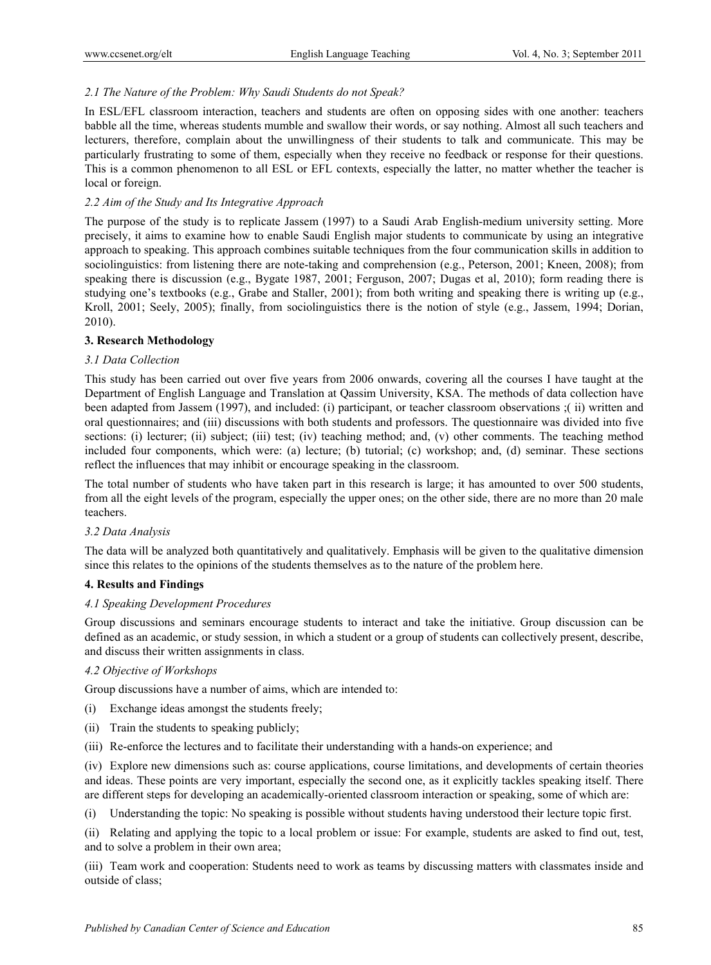# *2.1 The Nature of the Problem: Why Saudi Students do not Speak?*

In ESL/EFL classroom interaction, teachers and students are often on opposing sides with one another: teachers babble all the time, whereas students mumble and swallow their words, or say nothing. Almost all such teachers and lecturers, therefore, complain about the unwillingness of their students to talk and communicate. This may be particularly frustrating to some of them, especially when they receive no feedback or response for their questions. This is a common phenomenon to all ESL or EFL contexts, especially the latter, no matter whether the teacher is local or foreign.

## *2.2 Aim of the Study and Its Integrative Approach*

The purpose of the study is to replicate Jassem (1997) to a Saudi Arab English-medium university setting. More precisely, it aims to examine how to enable Saudi English major students to communicate by using an integrative approach to speaking. This approach combines suitable techniques from the four communication skills in addition to sociolinguistics: from listening there are note-taking and comprehension (e.g., Peterson, 2001; Kneen, 2008); from speaking there is discussion (e.g., Bygate 1987, 2001; Ferguson, 2007; Dugas et al, 2010); form reading there is studying one's textbooks (e.g., Grabe and Staller, 2001); from both writing and speaking there is writing up (e.g., Kroll, 2001; Seely, 2005); finally, from sociolinguistics there is the notion of style (e.g., Jassem, 1994; Dorian, 2010).

## **3. Research Methodology**

#### *3.1 Data Collection*

This study has been carried out over five years from 2006 onwards, covering all the courses I have taught at the Department of English Language and Translation at Qassim University, KSA. The methods of data collection have been adapted from Jassem (1997), and included: (i) participant, or teacher classroom observations ;( ii) written and oral questionnaires; and (iii) discussions with both students and professors. The questionnaire was divided into five sections: (i) lecturer; (ii) subject; (iii) test; (iv) teaching method; and, (v) other comments. The teaching method included four components, which were: (a) lecture; (b) tutorial; (c) workshop; and, (d) seminar. These sections reflect the influences that may inhibit or encourage speaking in the classroom.

The total number of students who have taken part in this research is large; it has amounted to over 500 students, from all the eight levels of the program, especially the upper ones; on the other side, there are no more than 20 male teachers.

## *3.2 Data Analysis*

The data will be analyzed both quantitatively and qualitatively. Emphasis will be given to the qualitative dimension since this relates to the opinions of the students themselves as to the nature of the problem here.

## **4. Results and Findings**

## *4.1 Speaking Development Procedures*

Group discussions and seminars encourage students to interact and take the initiative. Group discussion can be defined as an academic, or study session, in which a student or a group of students can collectively present, describe, and discuss their written assignments in class.

## *4.2 Objective of Workshops*

Group discussions have a number of aims, which are intended to:

- (i) Exchange ideas amongst the students freely;
- (ii) Train the students to speaking publicly;
- (iii) Re-enforce the lectures and to facilitate their understanding with a hands-on experience; and

(iv) Explore new dimensions such as: course applications, course limitations, and developments of certain theories and ideas. These points are very important, especially the second one, as it explicitly tackles speaking itself. There are different steps for developing an academically-oriented classroom interaction or speaking, some of which are:

(i) Understanding the topic: No speaking is possible without students having understood their lecture topic first.

(ii) Relating and applying the topic to a local problem or issue: For example, students are asked to find out, test, and to solve a problem in their own area;

(iii) Team work and cooperation: Students need to work as teams by discussing matters with classmates inside and outside of class;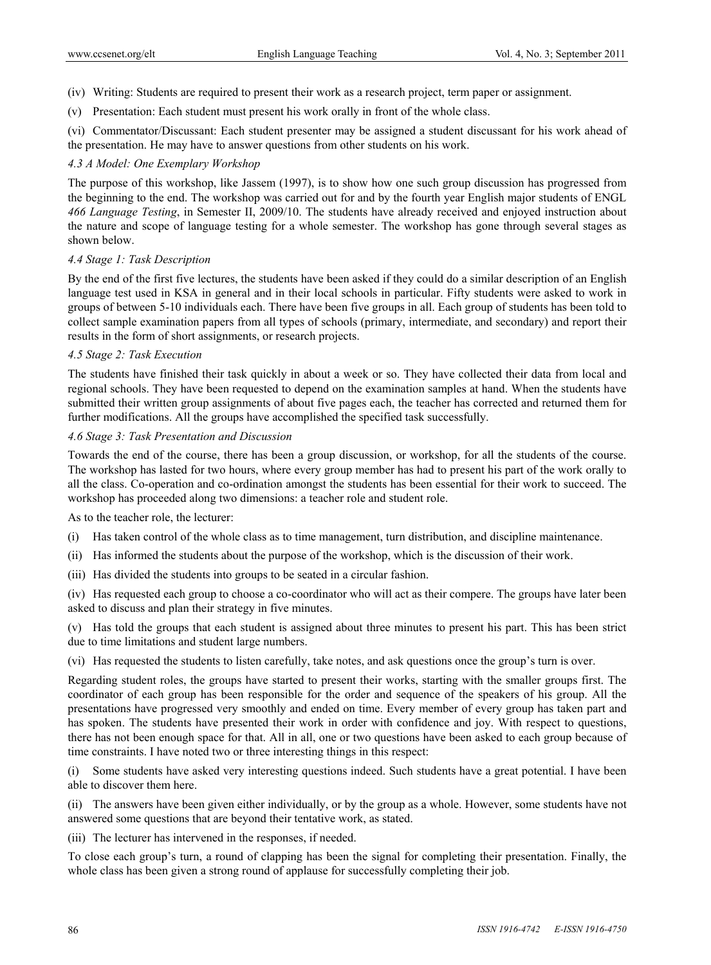- (iv) Writing: Students are required to present their work as a research project, term paper or assignment.
- (v) Presentation: Each student must present his work orally in front of the whole class.

(vi) Commentator/Discussant: Each student presenter may be assigned a student discussant for his work ahead of the presentation. He may have to answer questions from other students on his work.

#### *4.3 A Model: One Exemplary Workshop*

The purpose of this workshop, like Jassem (1997), is to show how one such group discussion has progressed from the beginning to the end. The workshop was carried out for and by the fourth year English major students of ENGL *466 Language Testing*, in Semester II, 2009/10. The students have already received and enjoyed instruction about the nature and scope of language testing for a whole semester. The workshop has gone through several stages as shown below.

#### *4.4 Stage 1: Task Description*

By the end of the first five lectures, the students have been asked if they could do a similar description of an English language test used in KSA in general and in their local schools in particular. Fifty students were asked to work in groups of between 5-10 individuals each. There have been five groups in all. Each group of students has been told to collect sample examination papers from all types of schools (primary, intermediate, and secondary) and report their results in the form of short assignments, or research projects.

#### *4.5 Stage 2: Task Execution*

The students have finished their task quickly in about a week or so. They have collected their data from local and regional schools. They have been requested to depend on the examination samples at hand. When the students have submitted their written group assignments of about five pages each, the teacher has corrected and returned them for further modifications. All the groups have accomplished the specified task successfully.

#### *4.6 Stage 3: Task Presentation and Discussion*

Towards the end of the course, there has been a group discussion, or workshop, for all the students of the course. The workshop has lasted for two hours, where every group member has had to present his part of the work orally to all the class. Co-operation and co-ordination amongst the students has been essential for their work to succeed. The workshop has proceeded along two dimensions: a teacher role and student role.

As to the teacher role, the lecturer:

- (i) Has taken control of the whole class as to time management, turn distribution, and discipline maintenance.
- (ii) Has informed the students about the purpose of the workshop, which is the discussion of their work.
- (iii) Has divided the students into groups to be seated in a circular fashion.

(iv) Has requested each group to choose a co-coordinator who will act as their compere. The groups have later been asked to discuss and plan their strategy in five minutes.

(v) Has told the groups that each student is assigned about three minutes to present his part. This has been strict due to time limitations and student large numbers.

(vi) Has requested the students to listen carefully, take notes, and ask questions once the group's turn is over.

Regarding student roles, the groups have started to present their works, starting with the smaller groups first. The coordinator of each group has been responsible for the order and sequence of the speakers of his group. All the presentations have progressed very smoothly and ended on time. Every member of every group has taken part and has spoken. The students have presented their work in order with confidence and joy. With respect to questions, there has not been enough space for that. All in all, one or two questions have been asked to each group because of time constraints. I have noted two or three interesting things in this respect:

(i) Some students have asked very interesting questions indeed. Such students have a great potential. I have been able to discover them here.

(ii) The answers have been given either individually, or by the group as a whole. However, some students have not answered some questions that are beyond their tentative work, as stated.

(iii) The lecturer has intervened in the responses, if needed.

To close each group's turn, a round of clapping has been the signal for completing their presentation. Finally, the whole class has been given a strong round of applause for successfully completing their job.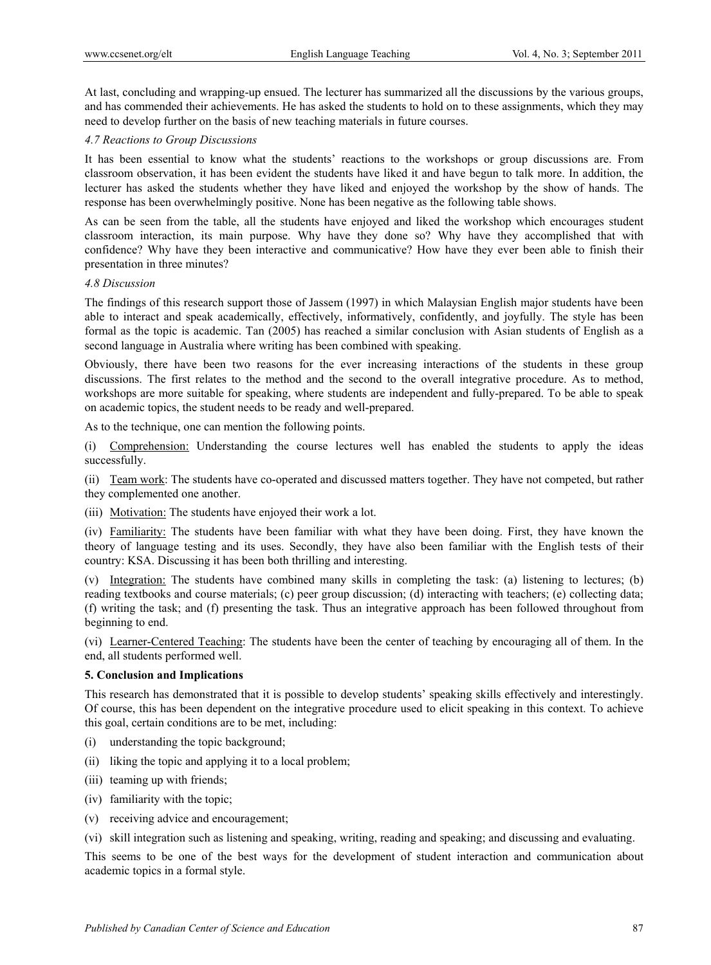At last, concluding and wrapping-up ensued. The lecturer has summarized all the discussions by the various groups, and has commended their achievements. He has asked the students to hold on to these assignments, which they may need to develop further on the basis of new teaching materials in future courses.

## *4.7 Reactions to Group Discussions*

It has been essential to know what the students' reactions to the workshops or group discussions are. From classroom observation, it has been evident the students have liked it and have begun to talk more. In addition, the lecturer has asked the students whether they have liked and enjoyed the workshop by the show of hands. The response has been overwhelmingly positive. None has been negative as the following table shows.

As can be seen from the table, all the students have enjoyed and liked the workshop which encourages student classroom interaction, its main purpose. Why have they done so? Why have they accomplished that with confidence? Why have they been interactive and communicative? How have they ever been able to finish their presentation in three minutes?

# *4.8 Discussion*

The findings of this research support those of Jassem (1997) in which Malaysian English major students have been able to interact and speak academically, effectively, informatively, confidently, and joyfully. The style has been formal as the topic is academic. Tan (2005) has reached a similar conclusion with Asian students of English as a second language in Australia where writing has been combined with speaking.

Obviously, there have been two reasons for the ever increasing interactions of the students in these group discussions. The first relates to the method and the second to the overall integrative procedure. As to method, workshops are more suitable for speaking, where students are independent and fully-prepared. To be able to speak on academic topics, the student needs to be ready and well-prepared.

As to the technique, one can mention the following points.

(i) Comprehension: Understanding the course lectures well has enabled the students to apply the ideas successfully.

(ii) Team work: The students have co-operated and discussed matters together. They have not competed, but rather they complemented one another.

(iii) Motivation: The students have enjoyed their work a lot.

(iv) Familiarity: The students have been familiar with what they have been doing. First, they have known the theory of language testing and its uses. Secondly, they have also been familiar with the English tests of their country: KSA. Discussing it has been both thrilling and interesting.

(v) Integration: The students have combined many skills in completing the task: (a) listening to lectures; (b) reading textbooks and course materials; (c) peer group discussion; (d) interacting with teachers; (e) collecting data; (f) writing the task; and (f) presenting the task. Thus an integrative approach has been followed throughout from beginning to end.

(vi) Learner-Centered Teaching: The students have been the center of teaching by encouraging all of them. In the end, all students performed well.

## **5. Conclusion and Implications**

This research has demonstrated that it is possible to develop students' speaking skills effectively and interestingly. Of course, this has been dependent on the integrative procedure used to elicit speaking in this context. To achieve this goal, certain conditions are to be met, including:

- (i) understanding the topic background;
- (ii) liking the topic and applying it to a local problem;
- (iii) teaming up with friends;
- (iv) familiarity with the topic;
- (v) receiving advice and encouragement;

(vi) skill integration such as listening and speaking, writing, reading and speaking; and discussing and evaluating.

This seems to be one of the best ways for the development of student interaction and communication about academic topics in a formal style.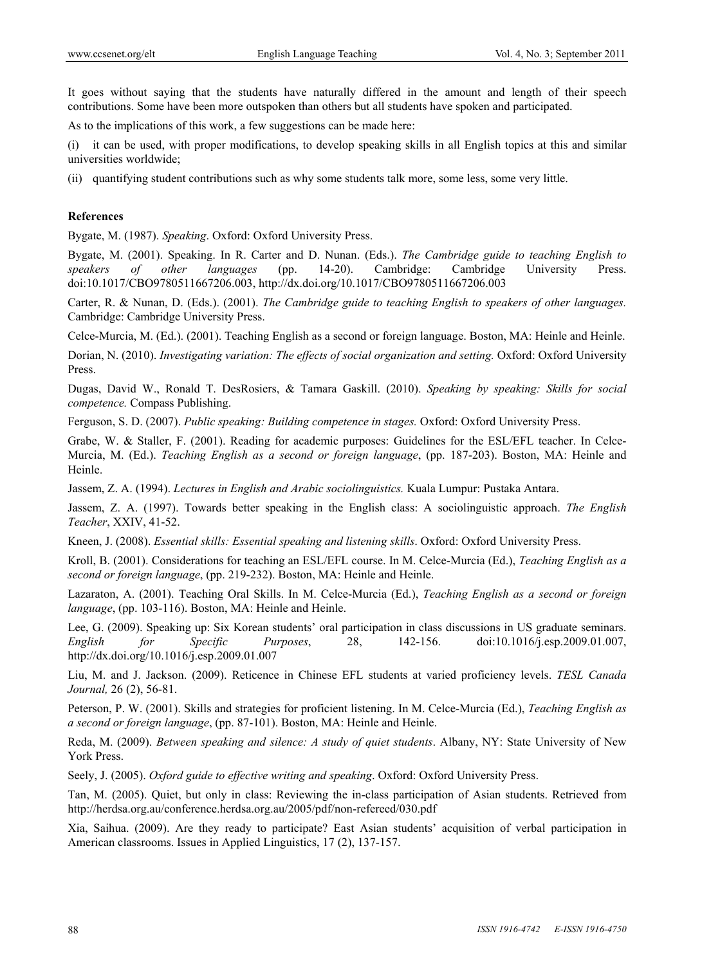It goes without saying that the students have naturally differed in the amount and length of their speech contributions. Some have been more outspoken than others but all students have spoken and participated.

As to the implications of this work, a few suggestions can be made here:

(i) it can be used, with proper modifications, to develop speaking skills in all English topics at this and similar universities worldwide;

(ii) quantifying student contributions such as why some students talk more, some less, some very little.

#### **References**

Bygate, M. (1987). *Speaking*. Oxford: Oxford University Press.

Bygate, M. (2001). Speaking. In R. Carter and D. Nunan. (Eds.). *The Cambridge guide to teaching English to speakers of other languages* (pp. 14-20). Cambridge: Cambridge University Press. doi:10.1017/CBO9780511667206.003, http://dx.doi.org/10.1017/CBO9780511667206.003

Carter, R. & Nunan, D. (Eds.). (2001). *The Cambridge guide to teaching English to speakers of other languages.* Cambridge: Cambridge University Press.

Celce-Murcia, M. (Ed.). (2001). Teaching English as a second or foreign language. Boston, MA: Heinle and Heinle.

Dorian, N. (2010). *Investigating variation: The effects of social organization and setting.* Oxford: Oxford University Press.

Dugas, David W., Ronald T. DesRosiers, & Tamara Gaskill. (2010). *Speaking by speaking: Skills for social competence.* Compass Publishing.

Ferguson, S. D. (2007). *Public speaking: Building competence in stages.* Oxford: Oxford University Press.

Grabe, W. & Staller, F. (2001). Reading for academic purposes: Guidelines for the ESL/EFL teacher. In Celce-Murcia, M. (Ed.). *Teaching English as a second or foreign language*, (pp. 187-203). Boston, MA: Heinle and Heinle.

Jassem, Z. A. (1994). *Lectures in English and Arabic sociolinguistics.* Kuala Lumpur: Pustaka Antara.

Jassem, Z. A. (1997). Towards better speaking in the English class: A sociolinguistic approach. *The English Teacher*, XXIV, 41-52.

Kneen, J. (2008). *Essential skills: Essential speaking and listening skills*. Oxford: Oxford University Press.

Kroll, B. (2001). Considerations for teaching an ESL/EFL course. In M. Celce-Murcia (Ed.), *Teaching English as a second or foreign language*, (pp. 219-232). Boston, MA: Heinle and Heinle.

Lazaraton, A. (2001). Teaching Oral Skills. In M. Celce-Murcia (Ed.), *Teaching English as a second or foreign language*, (pp. 103-116). Boston, MA: Heinle and Heinle.

Lee, G. (2009). Speaking up: Six Korean students' oral participation in class discussions in US graduate seminars. *English for Specific Purposes*, 28, 142-156. doi:10.1016/j.esp.2009.01.007, http://dx.doi.org/10.1016/j.esp.2009.01.007

Liu, M. and J. Jackson. (2009). Reticence in Chinese EFL students at varied proficiency levels. *TESL Canada Journal,* 26 (2), 56-81.

Peterson, P. W. (2001). Skills and strategies for proficient listening. In M. Celce-Murcia (Ed.), *Teaching English as a second or foreign language*, (pp. 87-101). Boston, MA: Heinle and Heinle.

Reda, M. (2009). *Between speaking and silence: A study of quiet students*. Albany, NY: State University of New York Press.

Seely, J. (2005). *Oxford guide to effective writing and speaking*. Oxford: Oxford University Press.

Tan, M. (2005). Quiet, but only in class: Reviewing the in-class participation of Asian students. Retrieved from http://herdsa.org.au/conference.herdsa.org.au/2005/pdf/non-refereed/030.pdf

Xia, Saihua. (2009). Are they ready to participate? East Asian students' acquisition of verbal participation in American classrooms. Issues in Applied Linguistics, 17 (2), 137-157.